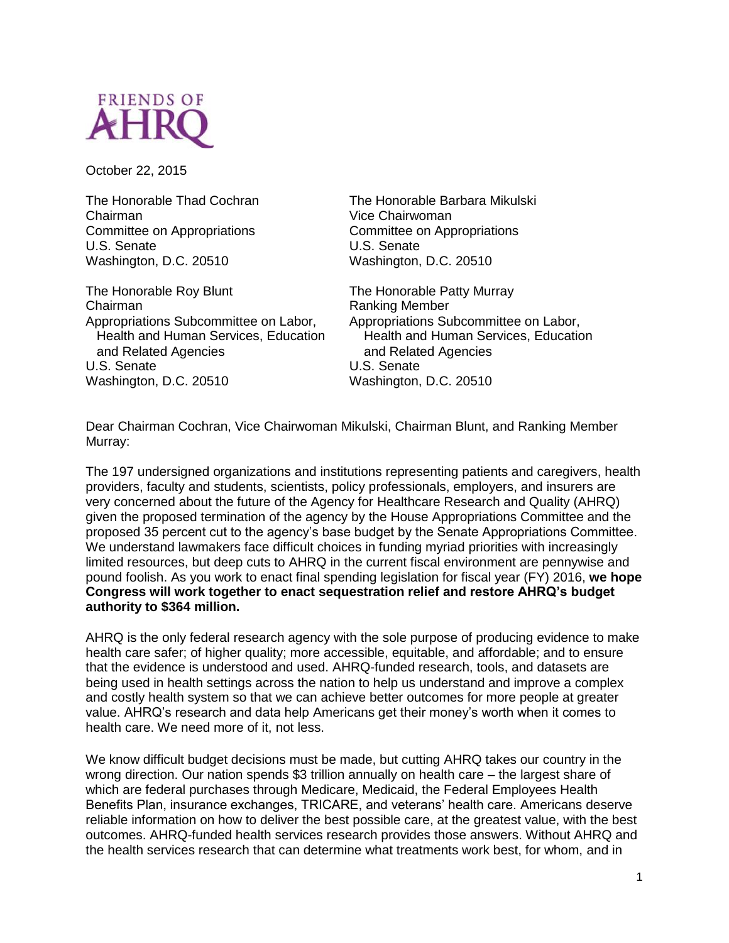

October 22, 2015

The Honorable Thad Cochran Chairman Committee on Appropriations U.S. Senate Washington, D.C. 20510

The Honorable Roy Blunt Chairman Appropriations Subcommittee on Labor, Health and Human Services, Education and Related Agencies U.S. Senate Washington, D.C. 20510

The Honorable Barbara Mikulski Vice Chairwoman Committee on Appropriations U.S. Senate Washington, D.C. 20510

The Honorable Patty Murray Ranking Member Appropriations Subcommittee on Labor, Health and Human Services, Education and Related Agencies U.S. Senate Washington, D.C. 20510

Dear Chairman Cochran, Vice Chairwoman Mikulski, Chairman Blunt, and Ranking Member Murray:

The 197 undersigned organizations and institutions representing patients and caregivers, health providers, faculty and students, scientists, policy professionals, employers, and insurers are very concerned about the future of the Agency for Healthcare Research and Quality (AHRQ) given the proposed termination of the agency by the House Appropriations Committee and the proposed 35 percent cut to the agency's base budget by the Senate Appropriations Committee. We understand lawmakers face difficult choices in funding myriad priorities with increasingly limited resources, but deep cuts to AHRQ in the current fiscal environment are pennywise and pound foolish. As you work to enact final spending legislation for fiscal year (FY) 2016, **we hope Congress will work together to enact sequestration relief and restore AHRQ's budget authority to \$364 million.**

AHRQ is the only federal research agency with the sole purpose of producing evidence to make health care safer; of higher quality; more accessible, equitable, and affordable; and to ensure that the evidence is understood and used. AHRQ-funded research, tools, and datasets are being used in health settings across the nation to help us understand and improve a complex and costly health system so that we can achieve better outcomes for more people at greater value. AHRQ's research and data help Americans get their money's worth when it comes to health care. We need more of it, not less.

We know difficult budget decisions must be made, but cutting AHRQ takes our country in the wrong direction. Our nation spends \$3 trillion annually on health care – the largest share of which are federal purchases through Medicare, Medicaid, the Federal Employees Health Benefits Plan, insurance exchanges, TRICARE, and veterans' health care. Americans deserve reliable information on how to deliver the best possible care, at the greatest value, with the best outcomes. AHRQ-funded health services research provides those answers. Without AHRQ and the health services research that can determine what treatments work best, for whom, and in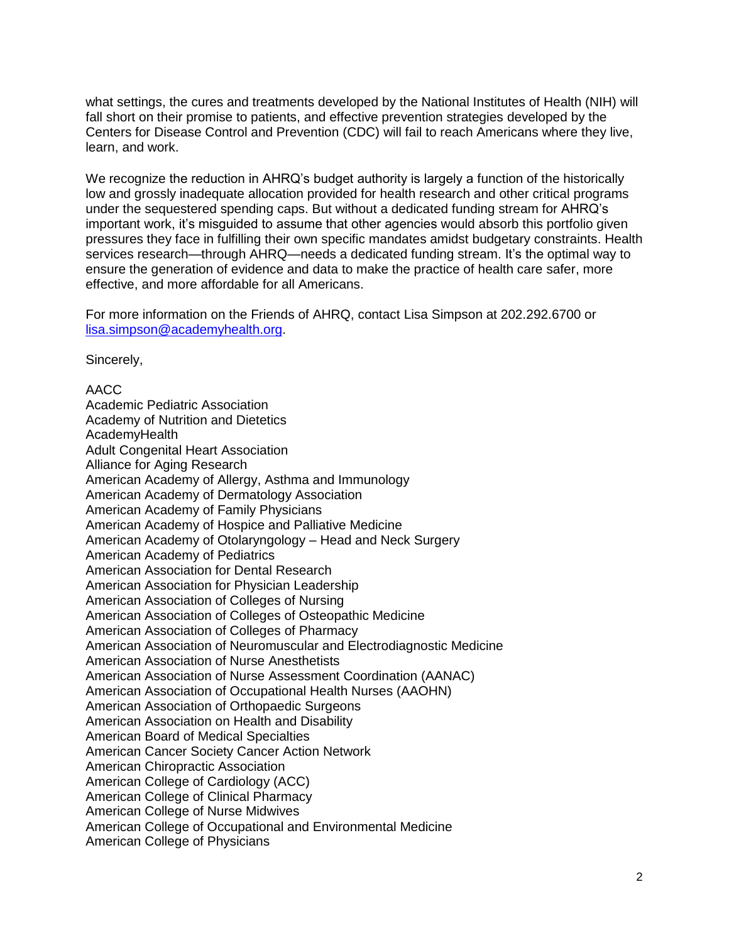what settings, the cures and treatments developed by the National Institutes of Health (NIH) will fall short on their promise to patients, and effective prevention strategies developed by the Centers for Disease Control and Prevention (CDC) will fail to reach Americans where they live, learn, and work.

We recognize the reduction in AHRQ's budget authority is largely a function of the historically low and grossly inadequate allocation provided for health research and other critical programs under the sequestered spending caps. But without a dedicated funding stream for AHRQ's important work, it's misguided to assume that other agencies would absorb this portfolio given pressures they face in fulfilling their own specific mandates amidst budgetary constraints. Health services research—through AHRQ—needs a dedicated funding stream. It's the optimal way to ensure the generation of evidence and data to make the practice of health care safer, more effective, and more affordable for all Americans.

For more information on the Friends of AHRQ, contact Lisa Simpson at 202.292.6700 or [lisa.simpson@academyhealth.org.](mailto:lisa.simpson@academyhealth.org)

Sincerely,

AACC Academic Pediatric Association Academy of Nutrition and Dietetics AcademyHealth Adult Congenital Heart Association Alliance for Aging Research American Academy of Allergy, Asthma and Immunology American Academy of Dermatology Association American Academy of Family Physicians American Academy of Hospice and Palliative Medicine American Academy of Otolaryngology – Head and Neck Surgery American Academy of Pediatrics American Association for Dental Research American Association for Physician Leadership American Association of Colleges of Nursing American Association of Colleges of Osteopathic Medicine American Association of Colleges of Pharmacy American Association of Neuromuscular and Electrodiagnostic Medicine American Association of Nurse Anesthetists American Association of Nurse Assessment Coordination (AANAC) American Association of Occupational Health Nurses (AAOHN) American Association of Orthopaedic Surgeons American Association on Health and Disability American Board of Medical Specialties American Cancer Society Cancer Action Network American Chiropractic Association American College of Cardiology (ACC) American College of Clinical Pharmacy American College of Nurse Midwives American College of Occupational and Environmental Medicine American College of Physicians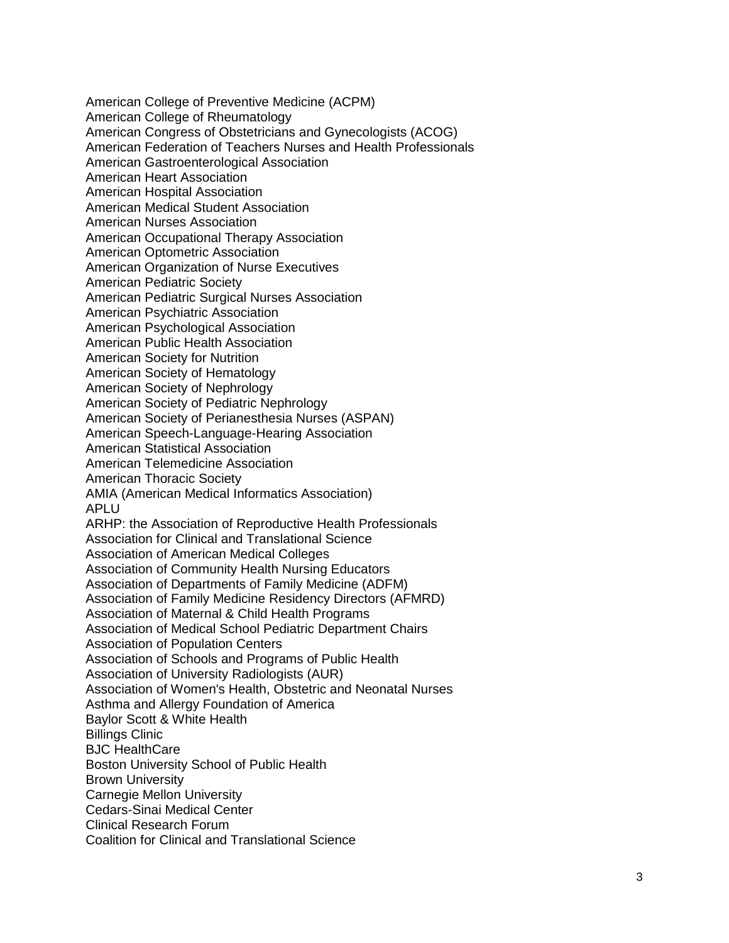American College of Preventive Medicine (ACPM) American College of Rheumatology American Congress of Obstetricians and Gynecologists (ACOG) American Federation of Teachers Nurses and Health Professionals American Gastroenterological Association American Heart Association American Hospital Association American Medical Student Association American Nurses Association American Occupational Therapy Association American Optometric Association American Organization of Nurse Executives American Pediatric Society American Pediatric Surgical Nurses Association American Psychiatric Association American Psychological Association American Public Health Association American Society for Nutrition American Society of Hematology American Society of Nephrology American Society of Pediatric Nephrology American Society of Perianesthesia Nurses (ASPAN) American Speech -Language -Hearing Association American Statistical Association American Telemedicine Association American Thoracic Society AMIA (American Medical Informatics Association) APLU ARHP: the Association of Reproductive Health Professionals Association for Clinical and Translational Science Association of American Medical Colleges Association of Community Health Nursing Educators Association of Departments of Family Medicine (ADFM) Association of Family Medicine Residency Directors (AFMRD) Association of Maternal & Child Health Programs Association of Medical School Pediatric Department Chairs Association of Population Centers Association of Schools and Programs of Public Health Association of University Radiologists (AUR) Association of Women's Health, Obstetric and Neonatal Nurses Asthma and Allergy Foundation of America Baylor Scott & White Health Billings Clinic BJC HealthCare Boston University School of Public Health Brown University Carnegie Mellon University Cedars -Sinai Medical Center Clinical Research Forum Coalition for Clinical and Translational Science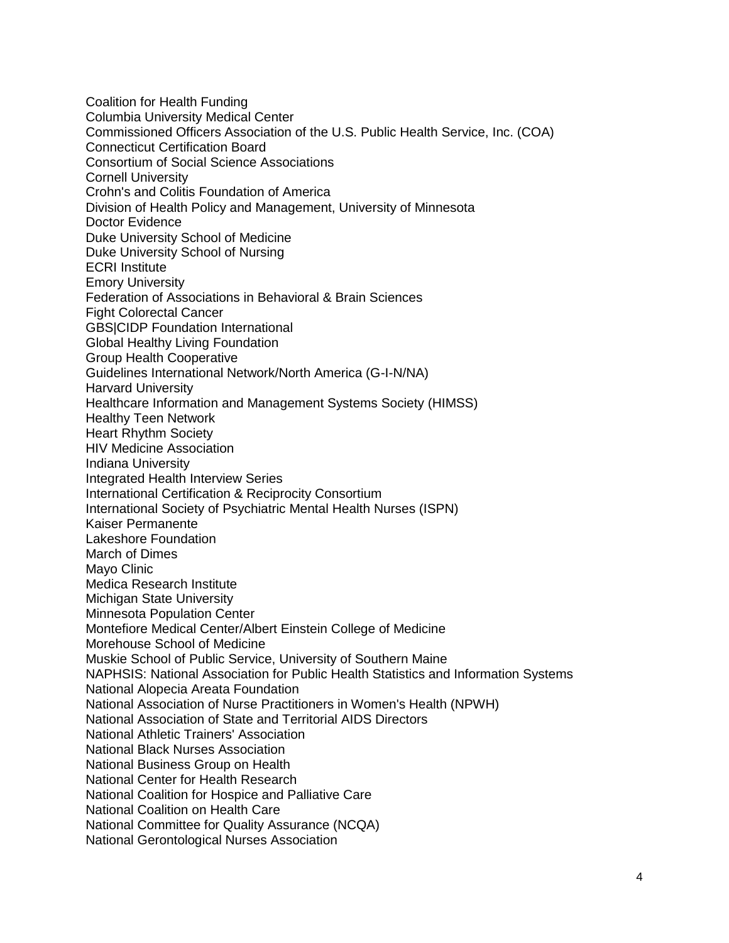Coalition for Health Funding Columbia University Medical Center Commissioned Officers Association of the U.S. Public Health Service, Inc. (COA) Connecticut Certification Board Consortium of Social Science Associations Cornell University Crohn's and Colitis Foundation of America Division of Health Policy and Management, University of Minnesota Doctor Evidence Duke University School of Medicine Duke University School of Nursing ECRI Institute Emory University Federation of Associations in Behavioral & Brain Sciences Fight Colorectal Cancer GBS|CIDP Foundation International Global Healthy Living Foundation Group Health Cooperative Guidelines International Network/North America (G-I-N/NA) Harvard University Healthcare Information and Management Systems Society (HIMSS) Healthy Teen Network Heart Rhythm Society HIV Medicine Association Indiana University Integrated Health Interview Series International Certification & Reciprocity Consortium International Society of Psychiatric Mental Health Nurses (ISPN) Kaiser Permanente Lakeshore Foundation March of Dimes Mayo Clinic Medica Research Institute Michigan State University Minnesota Population Center Montefiore Medical Center/Albert Einstein College of Medicine Morehouse School of Medicine Muskie School of Public Service, University of Southern Maine NAPHSIS: National Association for Public Health Statistics and Information Systems National Alopecia Areata Foundation National Association of Nurse Practitioners in Women's Health (NPWH) National Association of State and Territorial AIDS Directors National Athletic Trainers' Association National Black Nurses Association National Business Group on Health National Center for Health Research National Coalition for Hospice and Palliative Care National Coalition on Health Care National Committee for Quality Assurance (NCQA) National Gerontological Nurses Association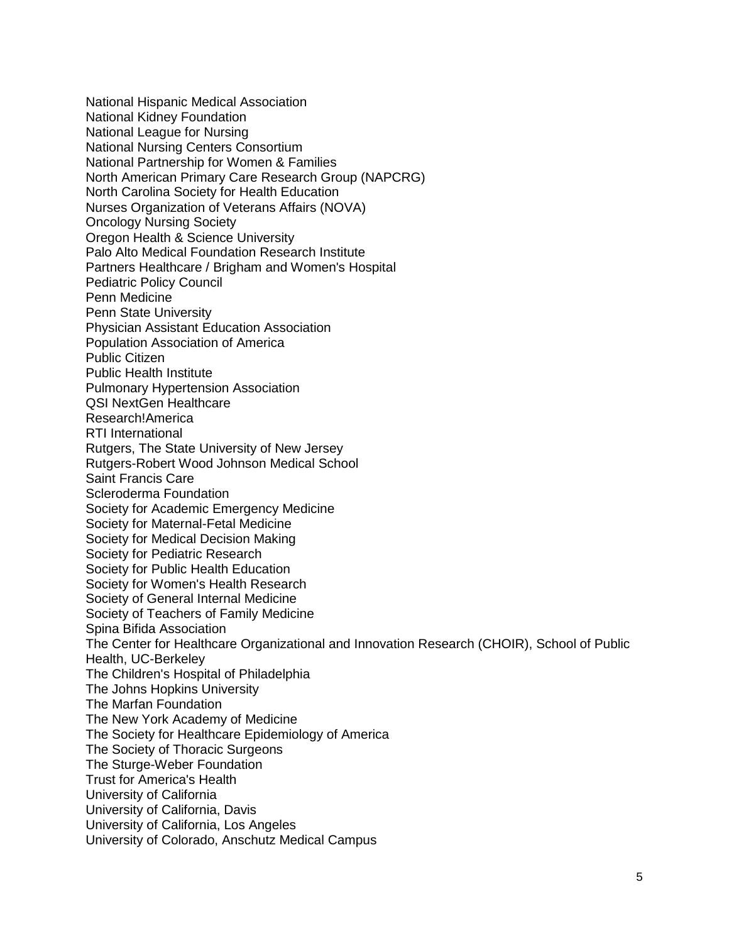National Hispanic Medical Association National Kidney Foundation National League for Nursing National Nursing Centers Consortium National Partnership for Women & Families North American Primary Care Research Group (NAPCRG) North Carolina Society for Health Education Nurses Organization of Veterans Affairs (NOVA) Oncology Nursing Society Oregon Health & Science University Palo Alto Medical Foundation Research Institute Partners Healthcare / Brigham and Women's Hospital Pediatric Policy Council Penn Medicine Penn State University Physician Assistant Education Association Population Association of America Public Citizen Public Health Institute Pulmonary Hypertension Association QSI NextGen Healthcare Research!America RTI International Rutgers, The State University of New Jersey Rutgers-Robert Wood Johnson Medical School Saint Francis Care Scleroderma Foundation Society for Academic Emergency Medicine Society for Maternal-Fetal Medicine Society for Medical Decision Making Society for Pediatric Research Society for Public Health Education Society for Women's Health Research Society of General Internal Medicine Society of Teachers of Family Medicine Spina Bifida Association The Center for Healthcare Organizational and Innovation Research (CHOIR), School of Public Health, UC-Berkeley The Children's Hospital of Philadelphia The Johns Hopkins University The Marfan Foundation The New York Academy of Medicine The Society for Healthcare Epidemiology of America The Society of Thoracic Surgeons The Sturge-Weber Foundation Trust for America's Health University of California University of California, Davis University of California, Los Angeles University of Colorado, Anschutz Medical Campus